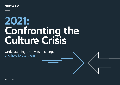radley yeldar.

# **2021: Confronting the Culture Crisis**

Understanding the levers of change and how to use them

March 2021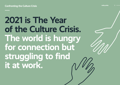## **2021 is The Year of the Culture Crisis. The world is hungry for connection but struggling to find it at work.**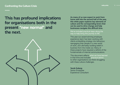## **This has profound implications for organisations both in the present "new normal" and the next.**



**As many of us now expect to work from home well into the second half of the year, this white paper explores key elements of culture and the corresponding levers that can be used to drive change and help businesses navigate this difficult time.**

#### We've included practical steps along the way to help bring this journey to life.

This year our award-winning employee experience team has been working with clients embedding strategy into behaviour, reengaging their people in a new world of work, and ultimately building belief in business from the inside out. Many of these projects have required a rethink of the fundamentals of internal communications.

This document reflects what we have learned in that time and includes practical advice to other organisations out there struggling with these culture challenges.

**Jacob Guberg** Senior Employee Experience Consultant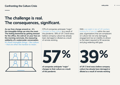## **The challenge is real. The consequences, significant.**

**As our lives change around us - it's the intangible things we miss the most. The feeling bestowed by getting dressed for the office, the cold air on your face on the morning commute, the reassuring solidarity of a watercooler conversation. It's these intangible things – like culture – that are often the hardest to retain.**

57% of companies anticipate "major" changes to their culture as a result of the pandemic. 39% of UK C-level execs believe company culture has already been damaged or diluted as a result of remote working.

With over eight in ten of UK workers looking for a new job within the next year, organisations that are complacent on culture risk not only damaging engagement but an inability to attract to the talent required to fill vacancies and plug widening skill gaps.





**of companies anticipate "major" changes to their culture as a result of the pandemic**

**39**

**of UK C-level execs believe company culture has already been damaged or diluted as a result of remote working**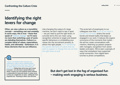## **Identifying the right levers for change**

**Often, we view culture as a monolithic concept – something vast and unwieldy. In some ways, this is true – those that speak of "culture change" as if it were no more than switching a pair of socks are deluding themselves. Culture is a complex blend of values, expectations, habits, and ultimately - behaviours. It is these elements that we can influence.**

Like changing the output of a large machine, we don't need to tear it apart – we just need to pull the right levers. In concrete terms this can mean using recognition schemes to target and reward specific behaviours or embedding your values into the recruitment process, to attract the right people. It's in identifying the specific elements of culture that we wish to support or change that we can find the right levers to pull.

The acute lack of propinquity to our colleagues now that much of our work is carried out remotely strains the social bonds and shared reality that keeps us engaged in our work. It reduces the organic occurrence of the moments that matter – the ad-hoc career conversations with mentors, dreaming up passion projects with managers, recognition from senior leaders and peers. We've seen a panoply of ways that workplaces have supported social connection, from digital team lunches to photo competitions.

**"Levers" are initiatives that a business can undertake in order to drive a desired impact. Like a mechanical lever, they have a 'from' and 'to' state: where you are now, and where you want to be. Pulling them all at once won't result in success - not only does it spread efforts too thinly, it means you can't pinpoint which initiative is responsible for improved results. It makes sense to focus on a single lever at a time - pulling the most impactful one - factoring in effort, cost and time.**

**But don't get lost in the fog of organised fun – making work engaging is serious business.**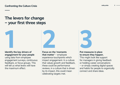## **The levers for change – your first three steps**



using data from employee engagement surveys, continuous feedback, or focus groups. This will tell us what levers will have the maximum effect.



**Focus on the 'moments that matter'** – employee experience touchpoints which impact engagement. In a culture that values growth and feedback, these could be performance reviews, in a culture that is driven by its impact, this could mean celebrating targets met.



#### **Put measures in place to ensure they happen.**

This might look like support for managers in giving feedback or holding career conversations – or simply creating digital spaces and habits for people to organically connect and share ideas.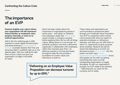## **The importance of an EVP**

**However brightly your culture shines, your organisation will still experience natural attrition as employees retire, progress internally, or move on to external opportunities.** 

Add to this the widening gap in skills required to sustain digital transformation, and aforementioned predicted spike in turnover as people reassess their lives and attracting talent is suddenly high up on the agenda again. Here too, pulling the right levers of your culture can give your organisation an edge in the battle for talent.

Much has been written about the importance of organisational purpose in recent years – and rightly so. Research from Glassdoor states that 79% of adults would consider a company's purpose before applying there. But as with all things culture, talking about it is not enough. An authentic purpose is one that is discovered organically in collaboration with employees, rather than imposed upon them. An effective purpose is one that permeates throughout daily life and provides a foundation for further values and behaviours to build on.

**"Delivering on an Employee Value Proposition can decrease turnover by up to 69%."**

These values and expectations are communicated to prospective talent through your Employee Value Proposition. Your EVP is a statement which should communicate both what you expect of potential employees i.e., behaviours, attitudes, and what you can offer them in return i.e., opportunity to grow, purposedriven business. Research by Gartner shows that delivering on an EVP can decrease turnover by up to 69%. But this power cuts both ways. Historic organisational psychology research shows that people can live with not getting everything they want, but that transgressing expectations is hugely damaging. As with our organisation's purpose, our EVP needs to be authentic – reflecting both our vision for the company and its reality.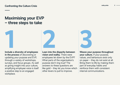## **Maximising your EVP – three steps to take**

**Include a diversity of employees in the process** of discovering or updating your purpose and EVP, through a variety of workshops, surveys, and focus groups. As well as giving insight into your culture, amplifying employee voice is itself a positive step to an engaged workplace.

**Lean into the disparity between vision and reality.** There were employees let down by the EVP? What parts of the organisation's purpose don't ring true? The answers to these questions are like gold – they let you know which other levers to pull to improve. **1 2 3**

**Weave your purpose throughout your culture.** If your purpose, values, and behaviours exist only on paper – they do not exist at all. Bring them to life by making them

part of everyday habits and reinforce them with consistent internal communications.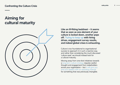## **Aiming for cultural maturity**



**Like an ill-fitting bedsheet – it seems that as soon as one element of your culture is locked down, another pops off. Trying to keep up with hiring drives, engagement survey results, and indeed global crises is exhausting.** 

Culture is too foundational to organisational success to approach it in such a reactive way, and rather than considering the much-discussed 'culture reset' we should instead look for a cultural maturity.

Moving away from one-shot initiatives towards a long-term culture strategy requires careful thought and engagement from stakeholders across your organisation – but it will give you and your leaders with an operating manual for something that was previously intangible.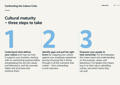## **Cultural maturity – three steps to take**



**your culture** and map out how it supports your business, starting with an overarching purpose before extrapolating this out into values and behaviours, and the concrete habits and structures that reinforce them.

**Identify gaps and pull the right levers** by mapping your culture against your employee experience journey ensuring that it shines through in all the moments that matter – from onboarding to exit interview. **1 2 3**

**Empower your people to** 

**take ownership.** For all employees, this means input and understanding on the purpose, values, and behaviours. For leaders this means buy-in to their role in upholding culture, and which levers they can pull.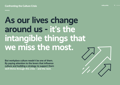## **As our lives change around us - it's the intangible things that we miss the most.**

**But workplace culture needn't be one of them. By paying attention to the levers that influence culture and building a strategy to support them we'll thrive through this crisis – and the next.**

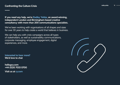**If you need any help, we're Radley Yeldar, an award-winning, independent London and Birmingham-based creative consultancy with more than 200 communications specialists.**

We've been working with organisations of all shapes and sizes for over 30 years to help create a world that believes in business.

We can help you with crisis campaigns across all types of stakeholders, as well as sustainability communications, corporate messaging, employee engagement, digital experiences, and more.

**Interested to hear more? We'd love to chat**

**hello@ry.com +44 (0)20 7033 0700**

**Visit us at ry.com**